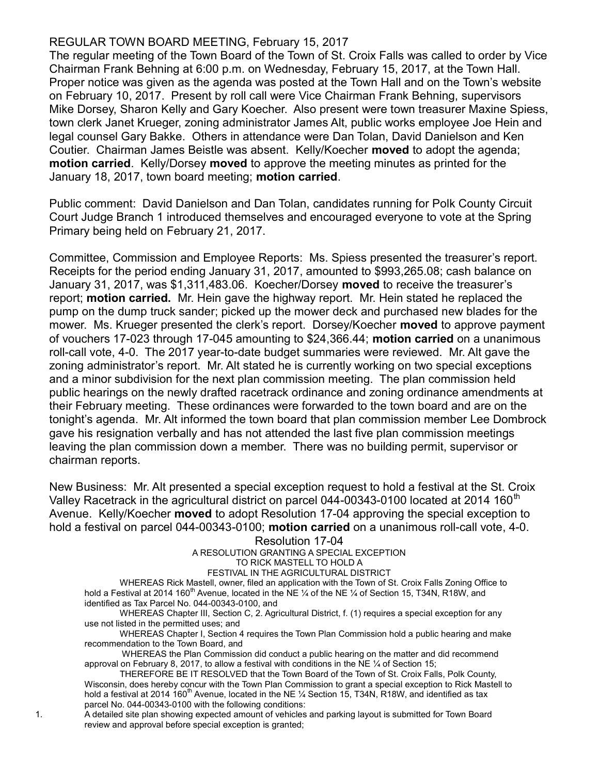## REGULAR TOWN BOARD MEETING, February 15, 2017

The regular meeting of the Town Board of the Town of St. Croix Falls was called to order by Vice Chairman Frank Behning at 6:00 p.m. on Wednesday, February 15, 2017, at the Town Hall. Proper notice was given as the agenda was posted at the Town Hall and on the Town's website on February 10, 2017. Present by roll call were Vice Chairman Frank Behning, supervisors Mike Dorsey, Sharon Kelly and Gary Koecher. Also present were town treasurer Maxine Spiess, town clerk Janet Krueger, zoning administrator James Alt, public works employee Joe Hein and legal counsel Gary Bakke. Others in attendance were Dan Tolan, David Danielson and Ken Coutier. Chairman James Beistle was absent. Kelly/Koecher moved to adopt the agenda; motion carried. Kelly/Dorsey moved to approve the meeting minutes as printed for the January 18, 2017, town board meeting; motion carried.

Public comment: David Danielson and Dan Tolan, candidates running for Polk County Circuit Court Judge Branch 1 introduced themselves and encouraged everyone to vote at the Spring Primary being held on February 21, 2017.

Committee, Commission and Employee Reports: Ms. Spiess presented the treasurer's report. Receipts for the period ending January 31, 2017, amounted to \$993,265.08; cash balance on January 31, 2017, was \$1,311,483.06. Koecher/Dorsey moved to receive the treasurer's report; motion carried. Mr. Hein gave the highway report. Mr. Hein stated he replaced the pump on the dump truck sander; picked up the mower deck and purchased new blades for the mower. Ms. Krueger presented the clerk's report. Dorsey/Koecher **moved** to approve payment of vouchers 17-023 through 17-045 amounting to \$24,366.44; motion carried on a unanimous roll-call vote, 4-0. The 2017 year-to-date budget summaries were reviewed. Mr. Alt gave the zoning administrator's report. Mr. Alt stated he is currently working on two special exceptions and a minor subdivision for the next plan commission meeting. The plan commission held public hearings on the newly drafted racetrack ordinance and zoning ordinance amendments at their February meeting. These ordinances were forwarded to the town board and are on the tonight's agenda. Mr. Alt informed the town board that plan commission member Lee Dombrock gave his resignation verbally and has not attended the last five plan commission meetings leaving the plan commission down a member. There was no building permit, supervisor or chairman reports.

New Business: Mr. Alt presented a special exception request to hold a festival at the St. Croix Valley Racetrack in the agricultural district on parcel 044-00343-0100 located at 2014 160<sup>th</sup> Avenue. Kelly/Koecher **moved** to adopt Resolution 17-04 approving the special exception to hold a festival on parcel 044-00343-0100; motion carried on a unanimous roll-call vote, 4-0.

## Resolution 17-04

A RESOLUTION GRANTING A SPECIAL EXCEPTION

## TO RICK MASTELL TO HOLD A

FESTIVAL IN THE AGRICULTURAL DISTRICT

WHEREAS Rick Mastell, owner, filed an application with the Town of St. Croix Falls Zoning Office to hold a Festival at 2014 160<sup>th</sup> Avenue, located in the NE  $\frac{1}{4}$  of the NE  $\frac{1}{4}$  of Section 15, T34N, R18W, and identified as Tax Parcel No. 044-00343-0100, and

WHEREAS Chapter III, Section C, 2. Agricultural District, f. (1) requires a special exception for any use not listed in the permitted uses; and

WHEREAS Chapter I, Section 4 requires the Town Plan Commission hold a public hearing and make recommendation to the Town Board, and

 WHEREAS the Plan Commission did conduct a public hearing on the matter and did recommend approval on February 8, 2017, to allow a festival with conditions in the NE  $\frac{1}{4}$  of Section 15;

THEREFORE BE IT RESOLVED that the Town Board of the Town of St. Croix Falls, Polk County, Wisconsin, does hereby concur with the Town Plan Commission to grant a special exception to Rick Mastell to hold a festival at 2014 160<sup>th</sup> Avenue, located in the NE  $\frac{1}{4}$  Section 15, T34N, R18W, and identified as tax parcel No. 044-00343-0100 with the following conditions:

1. A detailed site plan showing expected amount of vehicles and parking layout is submitted for Town Board review and approval before special exception is granted;